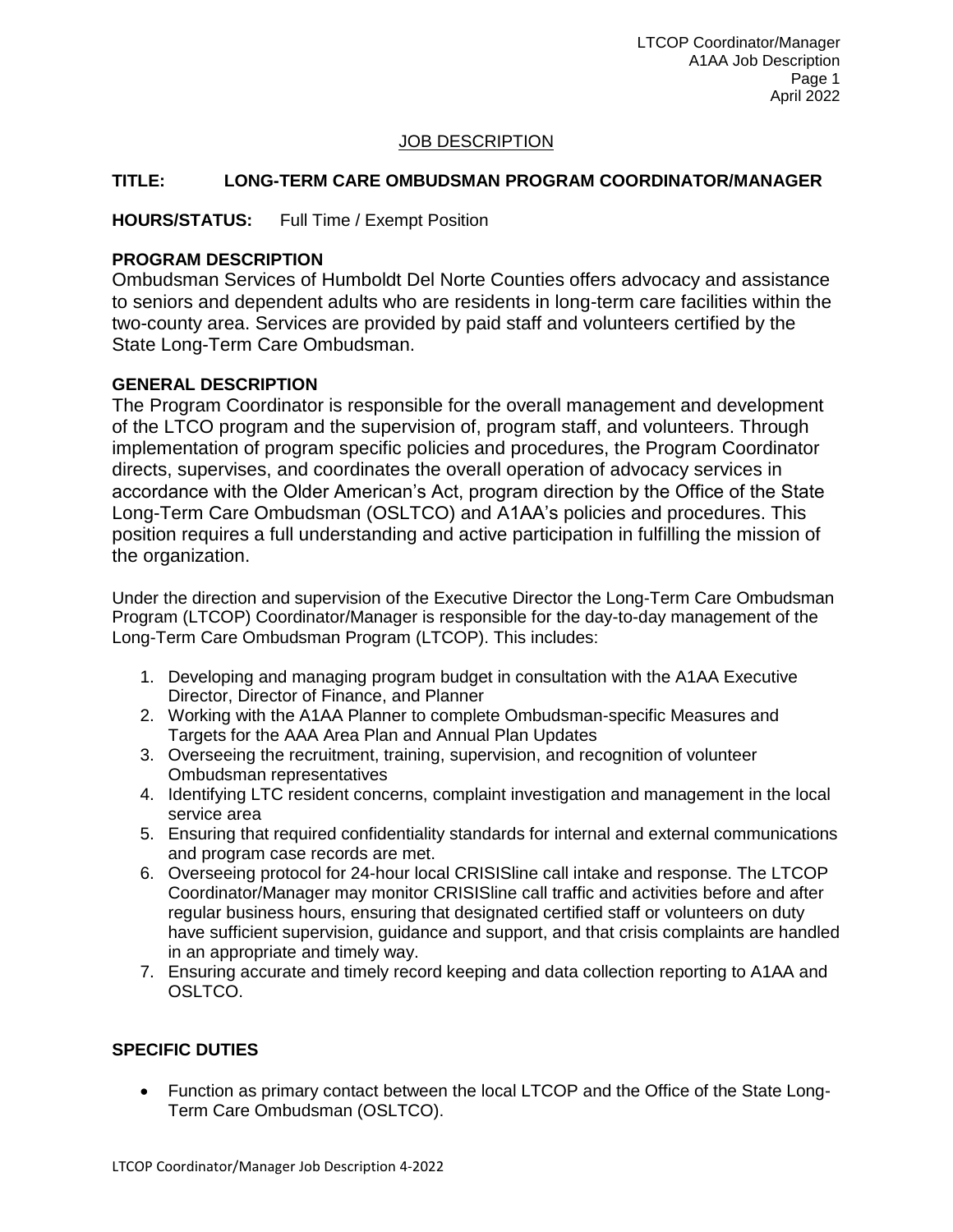LTCOP Coordinator/Manager A1AA Job Description Page 1 April 2022

### JOB DESCRIPTION

### **TITLE: LONG-TERM CARE OMBUDSMAN PROGRAM COORDINATOR/MANAGER**

**HOURS/STATUS:** Full Time / Exempt Position

## **PROGRAM DESCRIPTION**

Ombudsman Services of Humboldt Del Norte Counties offers advocacy and assistance to seniors and dependent adults who are residents in long-term care facilities within the two-county area. Services are provided by paid staff and volunteers certified by the State Long-Term Care Ombudsman.

## **GENERAL DESCRIPTION**

The Program Coordinator is responsible for the overall management and development of the LTCO program and the supervision of, program staff, and volunteers. Through implementation of program specific policies and procedures, the Program Coordinator directs, supervises, and coordinates the overall operation of advocacy services in accordance with the Older American's Act, program direction by the Office of the State Long-Term Care Ombudsman (OSLTCO) and A1AA's policies and procedures. This position requires a full understanding and active participation in fulfilling the mission of the organization.

Under the direction and supervision of the Executive Director the Long-Term Care Ombudsman Program (LTCOP) Coordinator/Manager is responsible for the day-to-day management of the Long-Term Care Ombudsman Program (LTCOP). This includes:

- 1. Developing and managing program budget in consultation with the A1AA Executive Director, Director of Finance, and Planner
- 2. Working with the A1AA Planner to complete Ombudsman-specific Measures and Targets for the AAA Area Plan and Annual Plan Updates
- 3. Overseeing the recruitment, training, supervision, and recognition of volunteer Ombudsman representatives
- 4. Identifying LTC resident concerns, complaint investigation and management in the local service area
- 5. Ensuring that required confidentiality standards for internal and external communications and program case records are met.
- 6. Overseeing protocol for 24-hour local CRISISline call intake and response. The LTCOP Coordinator/Manager may monitor CRISISline call traffic and activities before and after regular business hours, ensuring that designated certified staff or volunteers on duty have sufficient supervision, guidance and support, and that crisis complaints are handled in an appropriate and timely way.
- 7. Ensuring accurate and timely record keeping and data collection reporting to A1AA and OSLTCO.

# **SPECIFIC DUTIES**

 Function as primary contact between the local LTCOP and the Office of the State Long-Term Care Ombudsman (OSLTCO).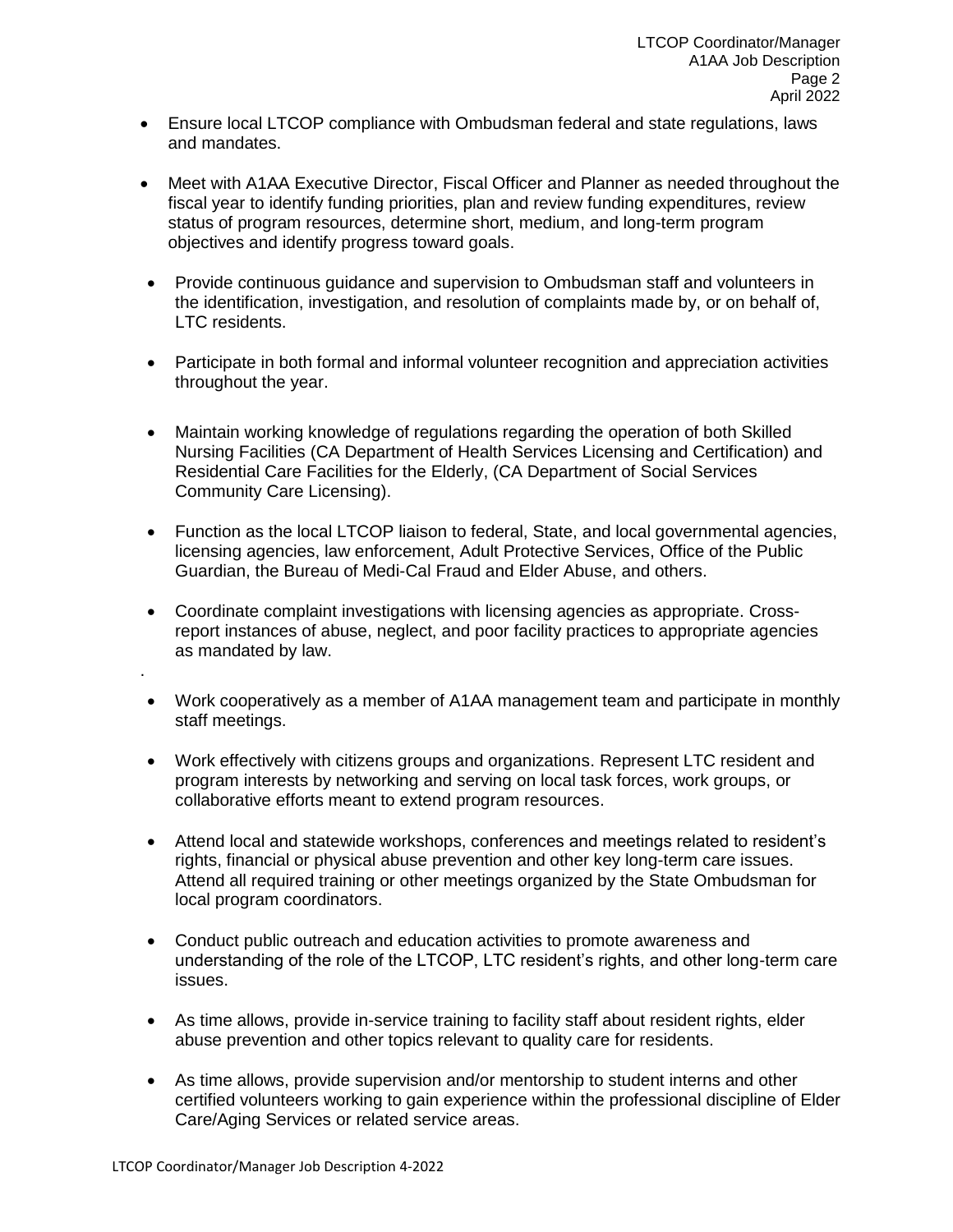- Ensure local LTCOP compliance with Ombudsman federal and state regulations, laws and mandates.
- Meet with A1AA Executive Director, Fiscal Officer and Planner as needed throughout the fiscal year to identify funding priorities, plan and review funding expenditures, review status of program resources, determine short, medium, and long-term program objectives and identify progress toward goals.
- Provide continuous guidance and supervision to Ombudsman staff and volunteers in the identification, investigation, and resolution of complaints made by, or on behalf of, LTC residents.
- Participate in both formal and informal volunteer recognition and appreciation activities throughout the year.
- Maintain working knowledge of regulations regarding the operation of both Skilled Nursing Facilities (CA Department of Health Services Licensing and Certification) and Residential Care Facilities for the Elderly, (CA Department of Social Services Community Care Licensing).
- Function as the local LTCOP liaison to federal, State, and local governmental agencies, licensing agencies, law enforcement, Adult Protective Services, Office of the Public Guardian, the Bureau of Medi-Cal Fraud and Elder Abuse, and others.
- Coordinate complaint investigations with licensing agencies as appropriate. Crossreport instances of abuse, neglect, and poor facility practices to appropriate agencies as mandated by law.
- Work cooperatively as a member of A1AA management team and participate in monthly staff meetings.
- Work effectively with citizens groups and organizations. Represent LTC resident and program interests by networking and serving on local task forces, work groups, or collaborative efforts meant to extend program resources.
- Attend local and statewide workshops, conferences and meetings related to resident's rights, financial or physical abuse prevention and other key long-term care issues. Attend all required training or other meetings organized by the State Ombudsman for local program coordinators.
- Conduct public outreach and education activities to promote awareness and understanding of the role of the LTCOP, LTC resident's rights, and other long-term care issues.
- As time allows, provide in-service training to facility staff about resident rights, elder abuse prevention and other topics relevant to quality care for residents.
- As time allows, provide supervision and/or mentorship to student interns and other certified volunteers working to gain experience within the professional discipline of Elder Care/Aging Services or related service areas.

.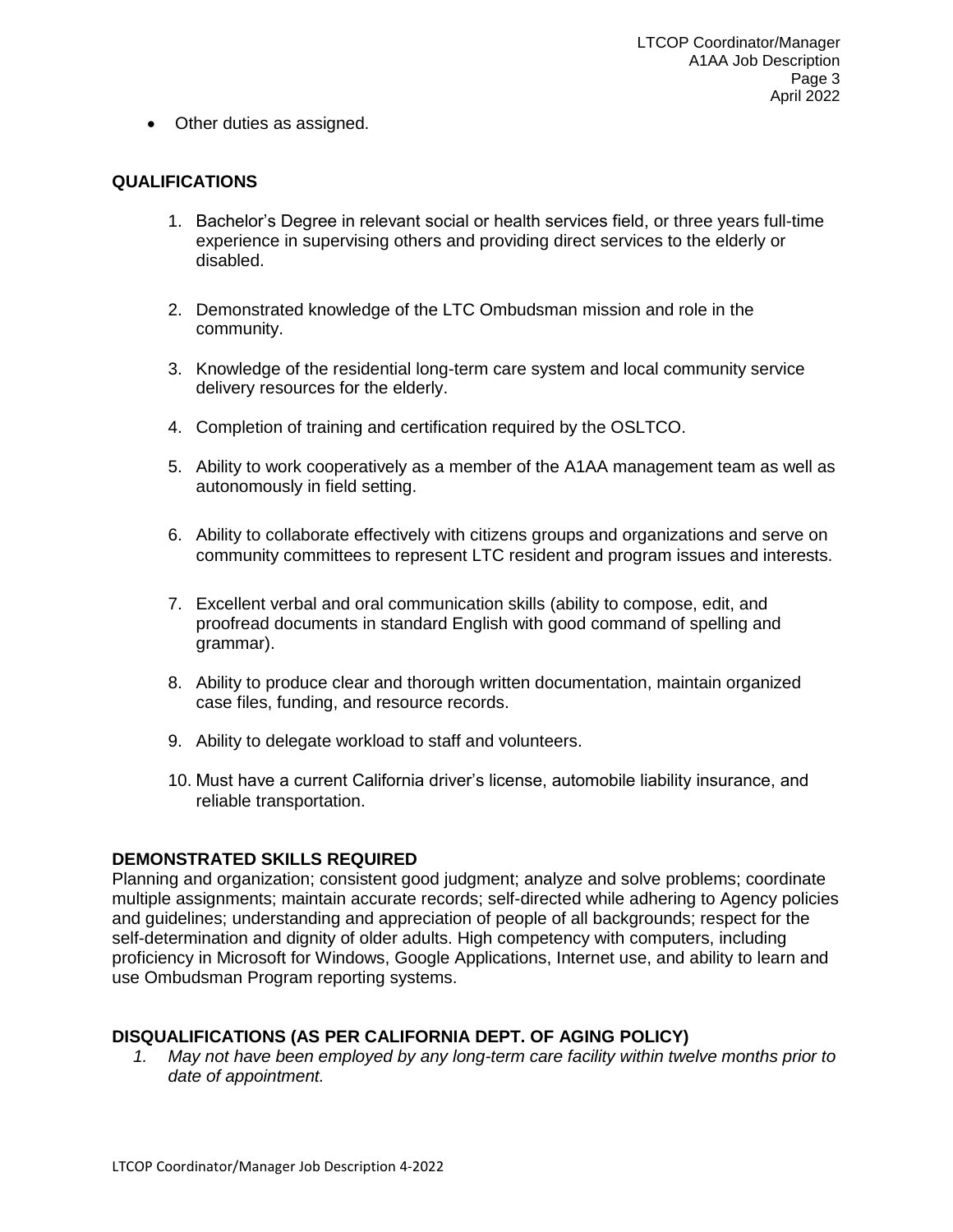• Other duties as assigned.

#### **QUALIFICATIONS**

- 1. Bachelor's Degree in relevant social or health services field, or three years full-time experience in supervising others and providing direct services to the elderly or disabled.
- 2. Demonstrated knowledge of the LTC Ombudsman mission and role in the community.
- 3. Knowledge of the residential long-term care system and local community service delivery resources for the elderly.
- 4. Completion of training and certification required by the OSLTCO.
- 5. Ability to work cooperatively as a member of the A1AA management team as well as autonomously in field setting.
- 6. Ability to collaborate effectively with citizens groups and organizations and serve on community committees to represent LTC resident and program issues and interests.
- 7. Excellent verbal and oral communication skills (ability to compose, edit, and proofread documents in standard English with good command of spelling and grammar).
- 8. Ability to produce clear and thorough written documentation, maintain organized case files, funding, and resource records.
- 9. Ability to delegate workload to staff and volunteers.
- 10. Must have a current California driver's license, automobile liability insurance, and reliable transportation.

### **DEMONSTRATED SKILLS REQUIRED**

Planning and organization; consistent good judgment; analyze and solve problems; coordinate multiple assignments; maintain accurate records; self-directed while adhering to Agency policies and guidelines; understanding and appreciation of people of all backgrounds; respect for the self-determination and dignity of older adults. High competency with computers, including proficiency in Microsoft for Windows, Google Applications, Internet use, and ability to learn and use Ombudsman Program reporting systems.

### **DISQUALIFICATIONS (AS PER CALIFORNIA DEPT. OF AGING POLICY)**

*1. May not have been employed by any long-term care facility within twelve months prior to date of appointment.*